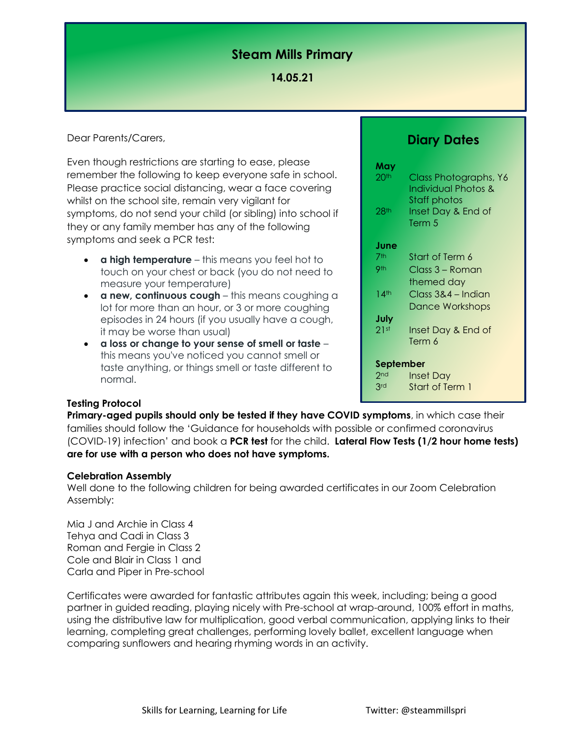# **Steam Mills Primary**

### **14.05.21**

Dear Parents/Carers,

Even though restrictions are starting to ease, please remember the following to keep everyone safe in school. Please practice social distancing, wear a face covering whilst on the school site, remain very vigilant for symptoms, do not send your child (or sibling) into school if they or any family member has any of the following symptoms and seek a PCR test:

- **a high temperature** this means you feel hot to touch on your chest or back (you do not need to measure your temperature)
- **a new, continuous cough** this means coughing a lot for more than an hour, or 3 or more coughing episodes in 24 hours (if you usually have a cough, it may be worse than usual)
- **a loss or change to your sense of smell or taste** this means you've noticed you cannot smell or taste anything, or things smell or taste different to normal.

## **Diary Dates**

| May<br>20 <sup>th</sup><br>28 <sup>th</sup> | Class Photographs, Y6<br><b>Individual Photos &amp;</b><br>Staff photos<br>Inset Day & End of<br>Term 5 |
|---------------------------------------------|---------------------------------------------------------------------------------------------------------|
| June                                        |                                                                                                         |
| 7th                                         | Start of Term 6                                                                                         |
| 9th                                         | Class 3 – Roman                                                                                         |
|                                             | themed day                                                                                              |
| 14 <sup>th</sup>                            | Class 3&4 – Indian                                                                                      |
|                                             | Dance Workshops                                                                                         |
| July                                        |                                                                                                         |
| 21st                                        | Inset Day & End of                                                                                      |
|                                             | Term 6                                                                                                  |
| September                                   |                                                                                                         |
| 2 <sub>nd</sub>                             | Inset Day                                                                                               |
| 3rd                                         | Start of Term 1                                                                                         |
|                                             |                                                                                                         |

#### **Testing Protocol**

**Primary-aged pupils should only be tested if they have COVID symptoms**, in which case their families should follow the 'Guidance for households with possible or confirmed coronavirus (COVID-19) infection' and book a **PCR test** for the child. **Lateral Flow Tests (1/2 hour home tests) are for use with a person who does not have symptoms.**

#### **Celebration Assembly**

Well done to the following children for being awarded certificates in our Zoom Celebration Assembly:

Mia J and Archie in Class 4 Tehya and Cadi in Class 3 Roman and Fergie in Class 2 Cole and Blair in Class 1 and Carla and Piper in Pre-school

Certificates were awarded for fantastic attributes again this week, including; being a good partner in guided reading, playing nicely with Pre-school at wrap-around, 100% effort in maths, using the distributive law for multiplication, good verbal communication, applying links to their learning, completing great challenges, performing lovely ballet, excellent language when comparing sunflowers and hearing rhyming words in an activity.